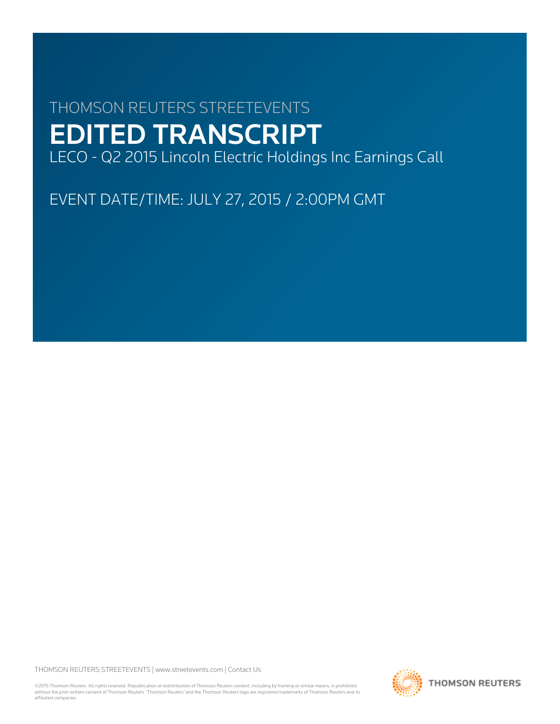# THOMSON REUTERS STREETEVENTS EDITED TRANSCRIPT LECO - Q2 2015 Lincoln Electric Holdings Inc Earnings Call

EVENT DATE/TIME: JULY 27, 2015 / 2:00PM GMT

THOMSON REUTERS STREETEVENTS | [www.streetevents.com](http://www.streetevents.com) | [Contact Us](http://www010.streetevents.com/contact.asp)

©2015 Thomson Reuters. All rights reserved. Republication or redistribution of Thomson Reuters content, including by framing or similar means, is prohibited without the prior written consent of Thomson Reuters. 'Thomson Reuters' and the Thomson Reuters logo are registered trademarks of Thomson Reuters and its affiliated companies.

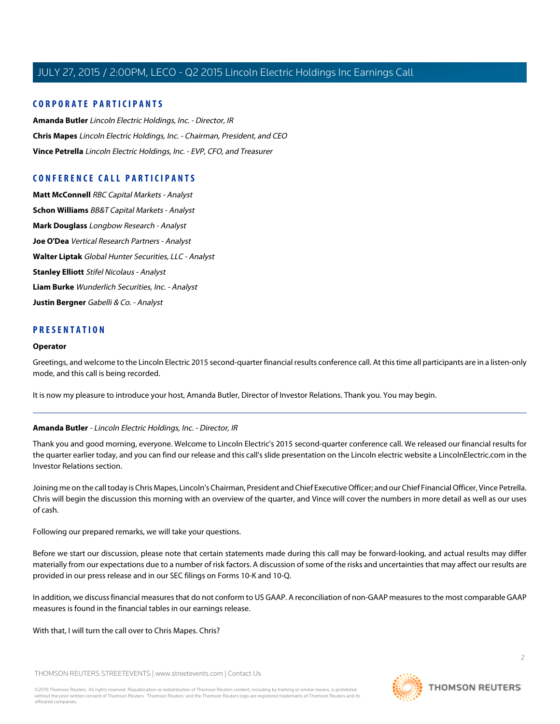# **CORPORATE PARTICIPANTS**

**[Amanda Butler](#page-1-0)** Lincoln Electric Holdings, Inc. - Director, IR **[Chris Mapes](#page-2-0)** Lincoln Electric Holdings, Inc. - Chairman, President, and CEO **[Vince Petrella](#page-3-0)** Lincoln Electric Holdings, Inc. - EVP, CFO, and Treasurer

# **CONFERENCE CALL PARTICIPANTS**

**[Matt McConnell](#page-5-0)** RBC Capital Markets - Analyst **[Schon Williams](#page-6-0)** BB&T Capital Markets - Analyst **[Mark Douglass](#page-7-0)** Longbow Research - Analyst **[Joe O'Dea](#page-8-0)** Vertical Research Partners - Analyst **[Walter Liptak](#page-9-0)** Global Hunter Securities, LLC - Analyst **[Stanley Elliott](#page-10-0)** Stifel Nicolaus - Analyst **[Liam Burke](#page-12-0)** Wunderlich Securities, Inc. - Analyst **[Justin Bergner](#page-13-0)** Gabelli & Co. - Analyst

# **PRESENTATION**

#### **Operator**

Greetings, and welcome to the Lincoln Electric 2015 second-quarter financial results conference call. At this time all participants are in a listen-only mode, and this call is being recorded.

<span id="page-1-0"></span>It is now my pleasure to introduce your host, Amanda Butler, Director of Investor Relations. Thank you. You may begin.

# **Amanda Butler** - Lincoln Electric Holdings, Inc. - Director, IR

Thank you and good morning, everyone. Welcome to Lincoln Electric's 2015 second-quarter conference call. We released our financial results for the quarter earlier today, and you can find our release and this call's slide presentation on the Lincoln electric website a LincolnElectric.com in the Investor Relations section.

Joining me on the call today is Chris Mapes, Lincoln's Chairman, President and Chief Executive Officer; and our Chief Financial Officer, Vince Petrella. Chris will begin the discussion this morning with an overview of the quarter, and Vince will cover the numbers in more detail as well as our uses of cash.

Following our prepared remarks, we will take your questions.

Before we start our discussion, please note that certain statements made during this call may be forward-looking, and actual results may differ materially from our expectations due to a number of risk factors. A discussion of some of the risks and uncertainties that may affect our results are provided in our press release and in our SEC filings on Forms 10-K and 10-Q.

In addition, we discuss financial measures that do not conform to US GAAP. A reconciliation of non-GAAP measures to the most comparable GAAP measures is found in the financial tables in our earnings release.

With that, I will turn the call over to Chris Mapes. Chris?

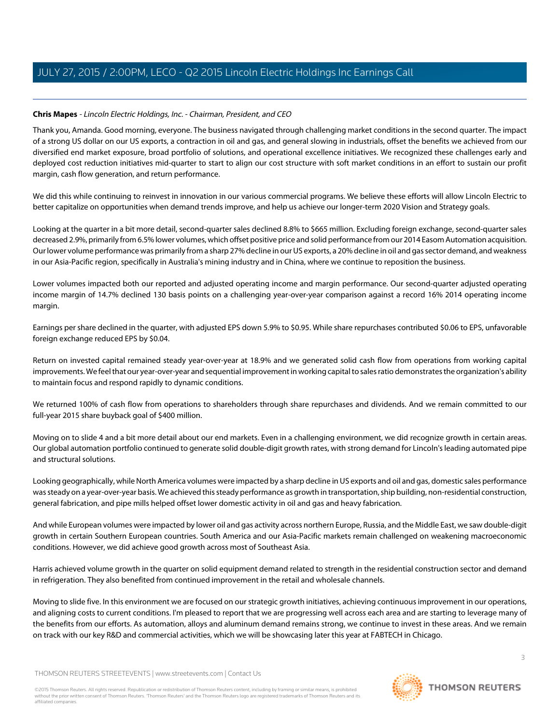# <span id="page-2-0"></span>**Chris Mapes** - Lincoln Electric Holdings, Inc. - Chairman, President, and CEO

Thank you, Amanda. Good morning, everyone. The business navigated through challenging market conditions in the second quarter. The impact of a strong US dollar on our US exports, a contraction in oil and gas, and general slowing in industrials, offset the benefits we achieved from our diversified end market exposure, broad portfolio of solutions, and operational excellence initiatives. We recognized these challenges early and deployed cost reduction initiatives mid-quarter to start to align our cost structure with soft market conditions in an effort to sustain our profit margin, cash flow generation, and return performance.

We did this while continuing to reinvest in innovation in our various commercial programs. We believe these efforts will allow Lincoln Electric to better capitalize on opportunities when demand trends improve, and help us achieve our longer-term 2020 Vision and Strategy goals.

Looking at the quarter in a bit more detail, second-quarter sales declined 8.8% to \$665 million. Excluding foreign exchange, second-quarter sales decreased 2.9%, primarily from 6.5% lower volumes, which offset positive price and solid performance from our 2014 Easom Automation acquisition. Our lower volume performance was primarily from a sharp 27% decline in our US exports, a 20% decline in oil and gas sector demand, and weakness in our Asia-Pacific region, specifically in Australia's mining industry and in China, where we continue to reposition the business.

Lower volumes impacted both our reported and adjusted operating income and margin performance. Our second-quarter adjusted operating income margin of 14.7% declined 130 basis points on a challenging year-over-year comparison against a record 16% 2014 operating income margin.

Earnings per share declined in the quarter, with adjusted EPS down 5.9% to \$0.95. While share repurchases contributed \$0.06 to EPS, unfavorable foreign exchange reduced EPS by \$0.04.

Return on invested capital remained steady year-over-year at 18.9% and we generated solid cash flow from operations from working capital improvements. We feel that our year-over-year and sequential improvement in working capital to sales ratio demonstrates the organization's ability to maintain focus and respond rapidly to dynamic conditions.

We returned 100% of cash flow from operations to shareholders through share repurchases and dividends. And we remain committed to our full-year 2015 share buyback goal of \$400 million.

Moving on to slide 4 and a bit more detail about our end markets. Even in a challenging environment, we did recognize growth in certain areas. Our global automation portfolio continued to generate solid double-digit growth rates, with strong demand for Lincoln's leading automated pipe and structural solutions.

Looking geographically, while North America volumes were impacted by a sharp decline in US exports and oil and gas, domestic sales performance was steady on a year-over-year basis. We achieved this steady performance as growth in transportation, ship building, non-residential construction, general fabrication, and pipe mills helped offset lower domestic activity in oil and gas and heavy fabrication.

And while European volumes were impacted by lower oil and gas activity across northern Europe, Russia, and the Middle East, we saw double-digit growth in certain Southern European countries. South America and our Asia-Pacific markets remain challenged on weakening macroeconomic conditions. However, we did achieve good growth across most of Southeast Asia.

Harris achieved volume growth in the quarter on solid equipment demand related to strength in the residential construction sector and demand in refrigeration. They also benefited from continued improvement in the retail and wholesale channels.

Moving to slide five. In this environment we are focused on our strategic growth initiatives, achieving continuous improvement in our operations, and aligning costs to current conditions. I'm pleased to report that we are progressing well across each area and are starting to leverage many of the benefits from our efforts. As automation, alloys and aluminum demand remains strong, we continue to invest in these areas. And we remain on track with our key R&D and commercial activities, which we will be showcasing later this year at FABTECH in Chicago.

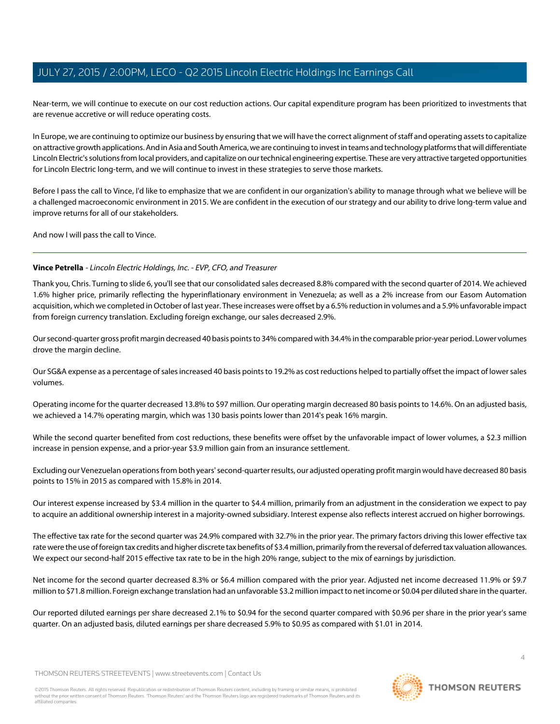Near-term, we will continue to execute on our cost reduction actions. Our capital expenditure program has been prioritized to investments that are revenue accretive or will reduce operating costs.

In Europe, we are continuing to optimize our business by ensuring that we will have the correct alignment of staff and operating assets to capitalize on attractive growth applications. And in Asia and South America, we are continuing to invest in teams and technology platforms that will differentiate Lincoln Electric's solutions from local providers, and capitalize on our technical engineering expertise. These are very attractive targeted opportunities for Lincoln Electric long-term, and we will continue to invest in these strategies to serve those markets.

Before I pass the call to Vince, I'd like to emphasize that we are confident in our organization's ability to manage through what we believe will be a challenged macroeconomic environment in 2015. We are confident in the execution of our strategy and our ability to drive long-term value and improve returns for all of our stakeholders.

<span id="page-3-0"></span>And now I will pass the call to Vince.

# **Vince Petrella** - Lincoln Electric Holdings, Inc. - EVP, CFO, and Treasurer

Thank you, Chris. Turning to slide 6, you'll see that our consolidated sales decreased 8.8% compared with the second quarter of 2014. We achieved 1.6% higher price, primarily reflecting the hyperinflationary environment in Venezuela; as well as a 2% increase from our Easom Automation acquisition, which we completed in October of last year. These increases were offset by a 6.5% reduction in volumes and a 5.9% unfavorable impact from foreign currency translation. Excluding foreign exchange, our sales decreased 2.9%.

Our second-quarter gross profit margin decreased 40 basis points to 34% compared with 34.4% in the comparable prior-year period. Lower volumes drove the margin decline.

Our SG&A expense as a percentage of sales increased 40 basis points to 19.2% as cost reductions helped to partially offset the impact of lower sales volumes.

Operating income for the quarter decreased 13.8% to \$97 million. Our operating margin decreased 80 basis points to 14.6%. On an adjusted basis, we achieved a 14.7% operating margin, which was 130 basis points lower than 2014's peak 16% margin.

While the second quarter benefited from cost reductions, these benefits were offset by the unfavorable impact of lower volumes, a \$2.3 million increase in pension expense, and a prior-year \$3.9 million gain from an insurance settlement.

Excluding our Venezuelan operations from both years' second-quarter results, our adjusted operating profit margin would have decreased 80 basis points to 15% in 2015 as compared with 15.8% in 2014.

Our interest expense increased by \$3.4 million in the quarter to \$4.4 million, primarily from an adjustment in the consideration we expect to pay to acquire an additional ownership interest in a majority-owned subsidiary. Interest expense also reflects interest accrued on higher borrowings.

The effective tax rate for the second quarter was 24.9% compared with 32.7% in the prior year. The primary factors driving this lower effective tax rate were the use of foreign tax credits and higher discrete tax benefits of \$3.4 million, primarily from the reversal of deferred tax valuation allowances. We expect our second-half 2015 effective tax rate to be in the high 20% range, subject to the mix of earnings by jurisdiction.

Net income for the second quarter decreased 8.3% or \$6.4 million compared with the prior year. Adjusted net income decreased 11.9% or \$9.7 million to \$71.8 million. Foreign exchange translation had an unfavorable \$3.2 million impact to net income or \$0.04 per diluted share in the quarter.

Our reported diluted earnings per share decreased 2.1% to \$0.94 for the second quarter compared with \$0.96 per share in the prior year's same quarter. On an adjusted basis, diluted earnings per share decreased 5.9% to \$0.95 as compared with \$1.01 in 2014.

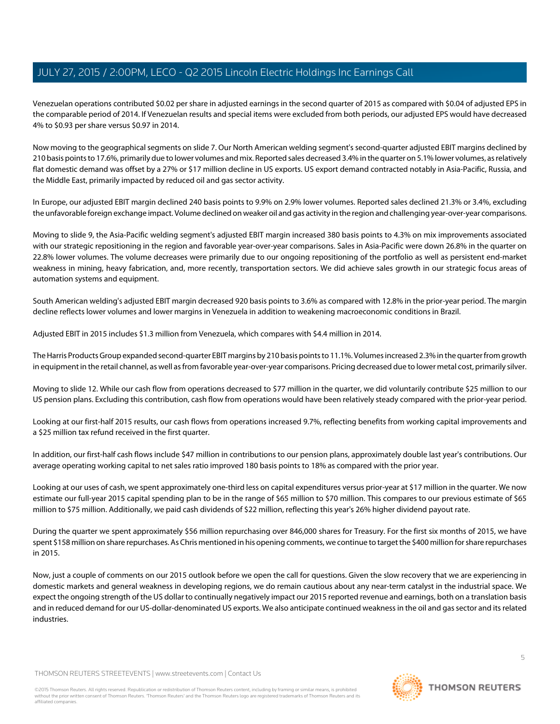Venezuelan operations contributed \$0.02 per share in adjusted earnings in the second quarter of 2015 as compared with \$0.04 of adjusted EPS in the comparable period of 2014. If Venezuelan results and special items were excluded from both periods, our adjusted EPS would have decreased 4% to \$0.93 per share versus \$0.97 in 2014.

Now moving to the geographical segments on slide 7. Our North American welding segment's second-quarter adjusted EBIT margins declined by 210 basis points to 17.6%, primarily due to lower volumes and mix. Reported sales decreased 3.4% in the quarter on 5.1% lower volumes, as relatively flat domestic demand was offset by a 27% or \$17 million decline in US exports. US export demand contracted notably in Asia-Pacific, Russia, and the Middle East, primarily impacted by reduced oil and gas sector activity.

In Europe, our adjusted EBIT margin declined 240 basis points to 9.9% on 2.9% lower volumes. Reported sales declined 21.3% or 3.4%, excluding the unfavorable foreign exchange impact. Volume declined on weaker oil and gas activity in the region and challenging year-over-year comparisons.

Moving to slide 9, the Asia-Pacific welding segment's adjusted EBIT margin increased 380 basis points to 4.3% on mix improvements associated with our strategic repositioning in the region and favorable year-over-year comparisons. Sales in Asia-Pacific were down 26.8% in the quarter on 22.8% lower volumes. The volume decreases were primarily due to our ongoing repositioning of the portfolio as well as persistent end-market weakness in mining, heavy fabrication, and, more recently, transportation sectors. We did achieve sales growth in our strategic focus areas of automation systems and equipment.

South American welding's adjusted EBIT margin decreased 920 basis points to 3.6% as compared with 12.8% in the prior-year period. The margin decline reflects lower volumes and lower margins in Venezuela in addition to weakening macroeconomic conditions in Brazil.

Adjusted EBIT in 2015 includes \$1.3 million from Venezuela, which compares with \$4.4 million in 2014.

The Harris Products Group expanded second-quarter EBIT margins by 210 basis points to 11.1%. Volumes increased 2.3% in the quarter from growth in equipment in the retail channel, as well as from favorable year-over-year comparisons. Pricing decreased due to lower metal cost, primarily silver.

Moving to slide 12. While our cash flow from operations decreased to \$77 million in the quarter, we did voluntarily contribute \$25 million to our US pension plans. Excluding this contribution, cash flow from operations would have been relatively steady compared with the prior-year period.

Looking at our first-half 2015 results, our cash flows from operations increased 9.7%, reflecting benefits from working capital improvements and a \$25 million tax refund received in the first quarter.

In addition, our first-half cash flows include \$47 million in contributions to our pension plans, approximately double last year's contributions. Our average operating working capital to net sales ratio improved 180 basis points to 18% as compared with the prior year.

Looking at our uses of cash, we spent approximately one-third less on capital expenditures versus prior-year at \$17 million in the quarter. We now estimate our full-year 2015 capital spending plan to be in the range of \$65 million to \$70 million. This compares to our previous estimate of \$65 million to \$75 million. Additionally, we paid cash dividends of \$22 million, reflecting this year's 26% higher dividend payout rate.

During the quarter we spent approximately \$56 million repurchasing over 846,000 shares for Treasury. For the first six months of 2015, we have spent \$158 million on share repurchases. As Chris mentioned in his opening comments, we continue to target the \$400 million for share repurchases in 2015.

Now, just a couple of comments on our 2015 outlook before we open the call for questions. Given the slow recovery that we are experiencing in domestic markets and general weakness in developing regions, we do remain cautious about any near-term catalyst in the industrial space. We expect the ongoing strength of the US dollar to continually negatively impact our 2015 reported revenue and earnings, both on a translation basis and in reduced demand for our US-dollar-denominated US exports. We also anticipate continued weakness in the oil and gas sector and its related industries.

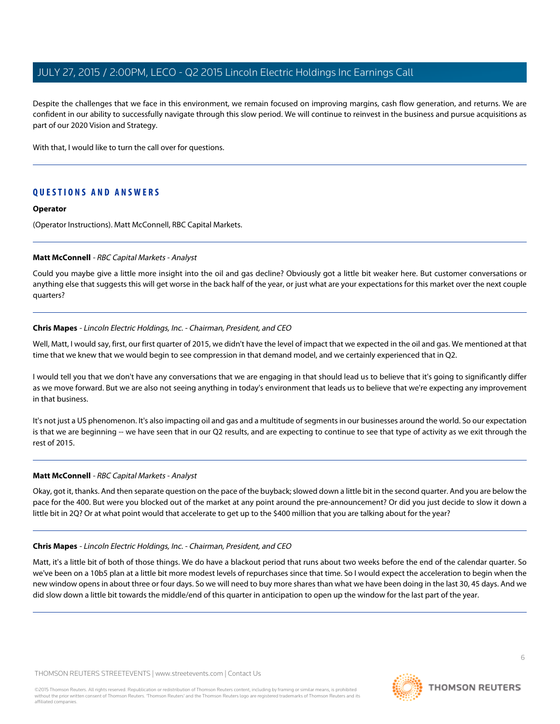Despite the challenges that we face in this environment, we remain focused on improving margins, cash flow generation, and returns. We are confident in our ability to successfully navigate through this slow period. We will continue to reinvest in the business and pursue acquisitions as part of our 2020 Vision and Strategy.

With that, I would like to turn the call over for questions.

# **QUESTIONS AND ANSWERS**

#### **Operator**

<span id="page-5-0"></span>(Operator Instructions). Matt McConnell, RBC Capital Markets.

#### **Matt McConnell** - RBC Capital Markets - Analyst

Could you maybe give a little more insight into the oil and gas decline? Obviously got a little bit weaker here. But customer conversations or anything else that suggests this will get worse in the back half of the year, or just what are your expectations for this market over the next couple quarters?

#### **Chris Mapes** - Lincoln Electric Holdings, Inc. - Chairman, President, and CEO

Well, Matt, I would say, first, our first quarter of 2015, we didn't have the level of impact that we expected in the oil and gas. We mentioned at that time that we knew that we would begin to see compression in that demand model, and we certainly experienced that in Q2.

I would tell you that we don't have any conversations that we are engaging in that should lead us to believe that it's going to significantly differ as we move forward. But we are also not seeing anything in today's environment that leads us to believe that we're expecting any improvement in that business.

It's not just a US phenomenon. It's also impacting oil and gas and a multitude of segments in our businesses around the world. So our expectation is that we are beginning -- we have seen that in our Q2 results, and are expecting to continue to see that type of activity as we exit through the rest of 2015.

# **Matt McConnell** - RBC Capital Markets - Analyst

Okay, got it, thanks. And then separate question on the pace of the buyback; slowed down a little bit in the second quarter. And you are below the pace for the 400. But were you blocked out of the market at any point around the pre-announcement? Or did you just decide to slow it down a little bit in 2Q? Or at what point would that accelerate to get up to the \$400 million that you are talking about for the year?

#### **Chris Mapes** - Lincoln Electric Holdings, Inc. - Chairman, President, and CEO

Matt, it's a little bit of both of those things. We do have a blackout period that runs about two weeks before the end of the calendar quarter. So we've been on a 10b5 plan at a little bit more modest levels of repurchases since that time. So I would expect the acceleration to begin when the new window opens in about three or four days. So we will need to buy more shares than what we have been doing in the last 30, 45 days. And we did slow down a little bit towards the middle/end of this quarter in anticipation to open up the window for the last part of the year.

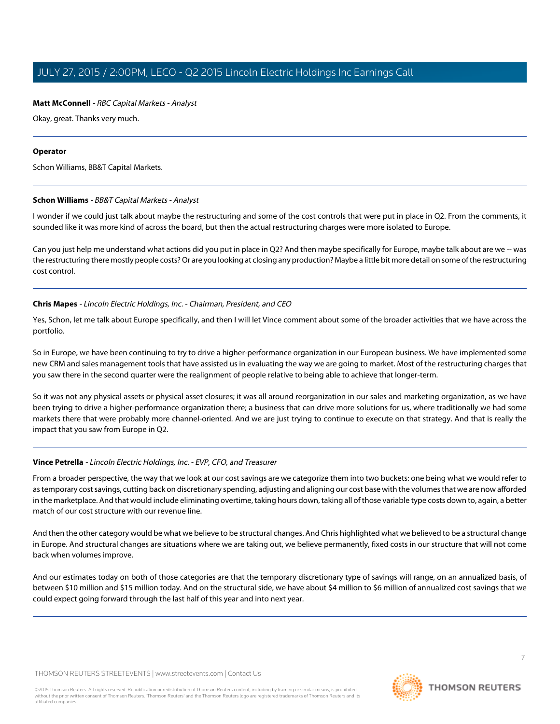# **Matt McConnell** - RBC Capital Markets - Analyst

Okay, great. Thanks very much.

## **Operator**

<span id="page-6-0"></span>Schon Williams, BB&T Capital Markets.

# **Schon Williams** - BB&T Capital Markets - Analyst

I wonder if we could just talk about maybe the restructuring and some of the cost controls that were put in place in Q2. From the comments, it sounded like it was more kind of across the board, but then the actual restructuring charges were more isolated to Europe.

Can you just help me understand what actions did you put in place in Q2? And then maybe specifically for Europe, maybe talk about are we -- was the restructuring there mostly people costs? Or are you looking at closing any production? Maybe a little bit more detail on some of the restructuring cost control.

# **Chris Mapes** - Lincoln Electric Holdings, Inc. - Chairman, President, and CEO

Yes, Schon, let me talk about Europe specifically, and then I will let Vince comment about some of the broader activities that we have across the portfolio.

So in Europe, we have been continuing to try to drive a higher-performance organization in our European business. We have implemented some new CRM and sales management tools that have assisted us in evaluating the way we are going to market. Most of the restructuring charges that you saw there in the second quarter were the realignment of people relative to being able to achieve that longer-term.

So it was not any physical assets or physical asset closures; it was all around reorganization in our sales and marketing organization, as we have been trying to drive a higher-performance organization there; a business that can drive more solutions for us, where traditionally we had some markets there that were probably more channel-oriented. And we are just trying to continue to execute on that strategy. And that is really the impact that you saw from Europe in Q2.

# **Vince Petrella** - Lincoln Electric Holdings, Inc. - EVP, CFO, and Treasurer

From a broader perspective, the way that we look at our cost savings are we categorize them into two buckets: one being what we would refer to as temporary cost savings, cutting back on discretionary spending, adjusting and aligning our cost base with the volumes that we are now afforded in the marketplace. And that would include eliminating overtime, taking hours down, taking all of those variable type costs down to, again, a better match of our cost structure with our revenue line.

And then the other category would be what we believe to be structural changes. And Chris highlighted what we believed to be a structural change in Europe. And structural changes are situations where we are taking out, we believe permanently, fixed costs in our structure that will not come back when volumes improve.

And our estimates today on both of those categories are that the temporary discretionary type of savings will range, on an annualized basis, of between \$10 million and \$15 million today. And on the structural side, we have about \$4 million to \$6 million of annualized cost savings that we could expect going forward through the last half of this year and into next year.

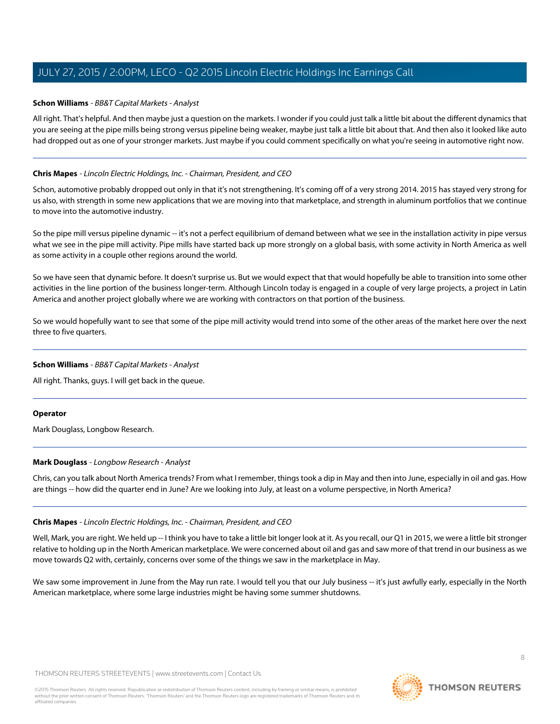## **Schon Williams** - BB&T Capital Markets - Analyst

All right. That's helpful. And then maybe just a question on the markets. I wonder if you could just talk a little bit about the different dynamics that you are seeing at the pipe mills being strong versus pipeline being weaker, maybe just talk a little bit about that. And then also it looked like auto had dropped out as one of your stronger markets. Just maybe if you could comment specifically on what you're seeing in automotive right now.

## **Chris Mapes** - Lincoln Electric Holdings, Inc. - Chairman, President, and CEO

Schon, automotive probably dropped out only in that it's not strengthening. It's coming off of a very strong 2014. 2015 has stayed very strong for us also, with strength in some new applications that we are moving into that marketplace, and strength in aluminum portfolios that we continue to move into the automotive industry.

So the pipe mill versus pipeline dynamic -- it's not a perfect equilibrium of demand between what we see in the installation activity in pipe versus what we see in the pipe mill activity. Pipe mills have started back up more strongly on a global basis, with some activity in North America as well as some activity in a couple other regions around the world.

So we have seen that dynamic before. It doesn't surprise us. But we would expect that that would hopefully be able to transition into some other activities in the line portion of the business longer-term. Although Lincoln today is engaged in a couple of very large projects, a project in Latin America and another project globally where we are working with contractors on that portion of the business.

So we would hopefully want to see that some of the pipe mill activity would trend into some of the other areas of the market here over the next three to five quarters.

#### **Schon Williams** - BB&T Capital Markets - Analyst

All right. Thanks, guys. I will get back in the queue.

#### <span id="page-7-0"></span>**Operator**

Mark Douglass, Longbow Research.

#### **Mark Douglass** - Longbow Research - Analyst

Chris, can you talk about North America trends? From what I remember, things took a dip in May and then into June, especially in oil and gas. How are things -- how did the quarter end in June? Are we looking into July, at least on a volume perspective, in North America?

#### **Chris Mapes** - Lincoln Electric Holdings, Inc. - Chairman, President, and CEO

Well, Mark, you are right. We held up -- I think you have to take a little bit longer look at it. As you recall, our Q1 in 2015, we were a little bit stronger relative to holding up in the North American marketplace. We were concerned about oil and gas and saw more of that trend in our business as we move towards Q2 with, certainly, concerns over some of the things we saw in the marketplace in May.

We saw some improvement in June from the May run rate. I would tell you that our July business -- it's just awfully early, especially in the North American marketplace, where some large industries might be having some summer shutdowns.

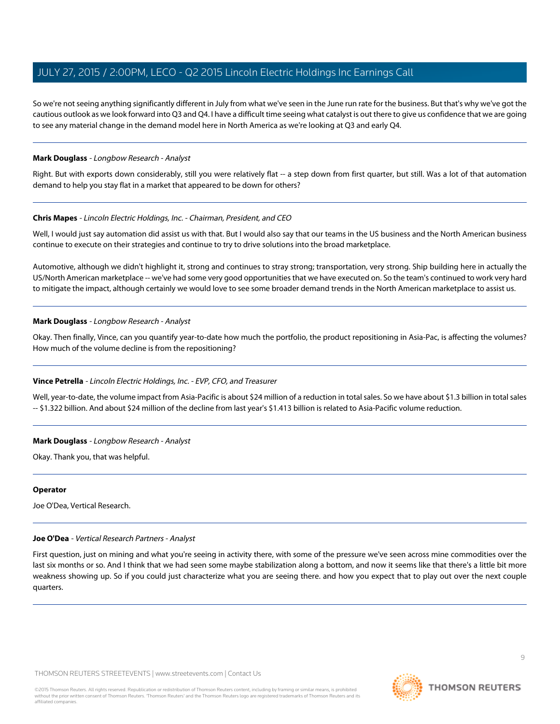So we're not seeing anything significantly different in July from what we've seen in the June run rate for the business. But that's why we've got the cautious outlook as we look forward into Q3 and Q4. I have a difficult time seeing what catalyst is out there to give us confidence that we are going to see any material change in the demand model here in North America as we're looking at Q3 and early Q4.

#### **Mark Douglass** - Longbow Research - Analyst

Right. But with exports down considerably, still you were relatively flat -- a step down from first quarter, but still. Was a lot of that automation demand to help you stay flat in a market that appeared to be down for others?

#### **Chris Mapes** - Lincoln Electric Holdings, Inc. - Chairman, President, and CEO

Well, I would just say automation did assist us with that. But I would also say that our teams in the US business and the North American business continue to execute on their strategies and continue to try to drive solutions into the broad marketplace.

Automotive, although we didn't highlight it, strong and continues to stray strong; transportation, very strong. Ship building here in actually the US/North American marketplace -- we've had some very good opportunities that we have executed on. So the team's continued to work very hard to mitigate the impact, although certainly we would love to see some broader demand trends in the North American marketplace to assist us.

#### **Mark Douglass** - Longbow Research - Analyst

Okay. Then finally, Vince, can you quantify year-to-date how much the portfolio, the product repositioning in Asia-Pac, is affecting the volumes? How much of the volume decline is from the repositioning?

# **Vince Petrella** - Lincoln Electric Holdings, Inc. - EVP, CFO, and Treasurer

Well, year-to-date, the volume impact from Asia-Pacific is about \$24 million of a reduction in total sales. So we have about \$1.3 billion in total sales -- \$1.322 billion. And about \$24 million of the decline from last year's \$1.413 billion is related to Asia-Pacific volume reduction.

#### **Mark Douglass** - Longbow Research - Analyst

Okay. Thank you, that was helpful.

#### <span id="page-8-0"></span>**Operator**

Joe O'Dea, Vertical Research.

# **Joe O'Dea** - Vertical Research Partners - Analyst

First question, just on mining and what you're seeing in activity there, with some of the pressure we've seen across mine commodities over the last six months or so. And I think that we had seen some maybe stabilization along a bottom, and now it seems like that there's a little bit more weakness showing up. So if you could just characterize what you are seeing there. and how you expect that to play out over the next couple quarters.

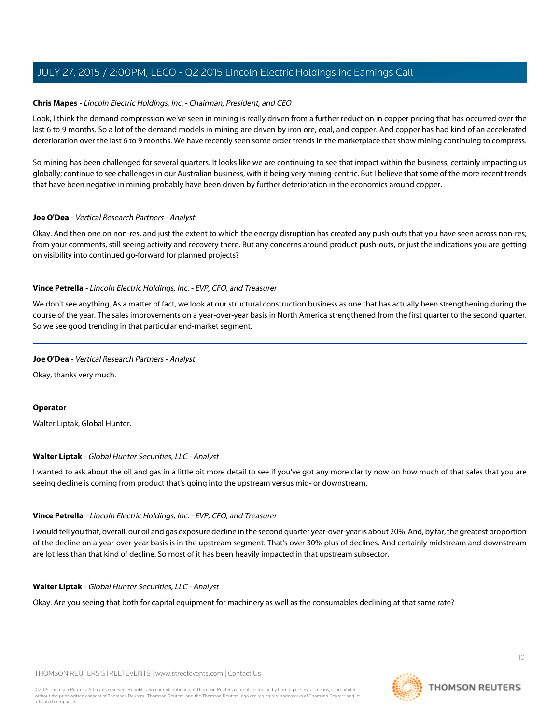# **Chris Mapes** - Lincoln Electric Holdings, Inc. - Chairman, President, and CEO

Look, I think the demand compression we've seen in mining is really driven from a further reduction in copper pricing that has occurred over the last 6 to 9 months. So a lot of the demand models in mining are driven by iron ore, coal, and copper. And copper has had kind of an accelerated deterioration over the last 6 to 9 months. We have recently seen some order trends in the marketplace that show mining continuing to compress.

So mining has been challenged for several quarters. It looks like we are continuing to see that impact within the business, certainly impacting us globally; continue to see challenges in our Australian business, with it being very mining-centric. But I believe that some of the more recent trends that have been negative in mining probably have been driven by further deterioration in the economics around copper.

#### **Joe O'Dea** - Vertical Research Partners - Analyst

Okay. And then one on non-res, and just the extent to which the energy disruption has created any push-outs that you have seen across non-res; from your comments, still seeing activity and recovery there. But any concerns around product push-outs, or just the indications you are getting on visibility into continued go-forward for planned projects?

#### **Vince Petrella** - Lincoln Electric Holdings, Inc. - EVP, CFO, and Treasurer

We don't see anything. As a matter of fact, we look at our structural construction business as one that has actually been strengthening during the course of the year. The sales improvements on a year-over-year basis in North America strengthened from the first quarter to the second quarter. So we see good trending in that particular end-market segment.

#### **Joe O'Dea** - Vertical Research Partners - Analyst

Okay, thanks very much.

#### <span id="page-9-0"></span>**Operator**

Walter Liptak, Global Hunter.

# **Walter Liptak** - Global Hunter Securities, LLC - Analyst

I wanted to ask about the oil and gas in a little bit more detail to see if you've got any more clarity now on how much of that sales that you are seeing decline is coming from product that's going into the upstream versus mid- or downstream.

# **Vince Petrella** - Lincoln Electric Holdings, Inc. - EVP, CFO, and Treasurer

I would tell you that, overall, our oil and gas exposure decline in the second quarter year-over-year is about 20%. And, by far, the greatest proportion of the decline on a year-over-year basis is in the upstream segment. That's over 30%-plus of declines. And certainly midstream and downstream are lot less than that kind of decline. So most of it has been heavily impacted in that upstream subsector.

#### **Walter Liptak** - Global Hunter Securities, LLC - Analyst

Okay. Are you seeing that both for capital equipment for machinery as well as the consumables declining at that same rate?

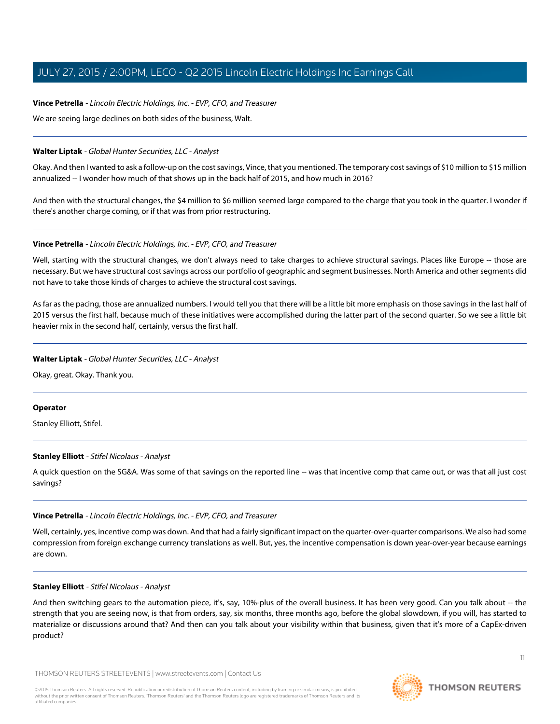## **Vince Petrella** - Lincoln Electric Holdings, Inc. - EVP, CFO, and Treasurer

We are seeing large declines on both sides of the business, Walt.

#### **Walter Liptak** - Global Hunter Securities, LLC - Analyst

Okay. And then I wanted to ask a follow-up on the cost savings, Vince, that you mentioned. The temporary cost savings of \$10 million to \$15 million annualized -- I wonder how much of that shows up in the back half of 2015, and how much in 2016?

And then with the structural changes, the \$4 million to \$6 million seemed large compared to the charge that you took in the quarter. I wonder if there's another charge coming, or if that was from prior restructuring.

#### **Vince Petrella** - Lincoln Electric Holdings, Inc. - EVP, CFO, and Treasurer

Well, starting with the structural changes, we don't always need to take charges to achieve structural savings. Places like Europe -- those are necessary. But we have structural cost savings across our portfolio of geographic and segment businesses. North America and other segments did not have to take those kinds of charges to achieve the structural cost savings.

As far as the pacing, those are annualized numbers. I would tell you that there will be a little bit more emphasis on those savings in the last half of 2015 versus the first half, because much of these initiatives were accomplished during the latter part of the second quarter. So we see a little bit heavier mix in the second half, certainly, versus the first half.

#### **Walter Liptak** - Global Hunter Securities, LLC - Analyst

Okay, great. Okay. Thank you.

#### <span id="page-10-0"></span>**Operator**

Stanley Elliott, Stifel.

#### **Stanley Elliott** - Stifel Nicolaus - Analyst

A quick question on the SG&A. Was some of that savings on the reported line -- was that incentive comp that came out, or was that all just cost savings?

# **Vince Petrella** - Lincoln Electric Holdings, Inc. - EVP, CFO, and Treasurer

Well, certainly, yes, incentive comp was down. And that had a fairly significant impact on the quarter-over-quarter comparisons. We also had some compression from foreign exchange currency translations as well. But, yes, the incentive compensation is down year-over-year because earnings are down.

#### **Stanley Elliott** - Stifel Nicolaus - Analyst

And then switching gears to the automation piece, it's, say, 10%-plus of the overall business. It has been very good. Can you talk about -- the strength that you are seeing now, is that from orders, say, six months, three months ago, before the global slowdown, if you will, has started to materialize or discussions around that? And then can you talk about your visibility within that business, given that it's more of a CapEx-driven product?

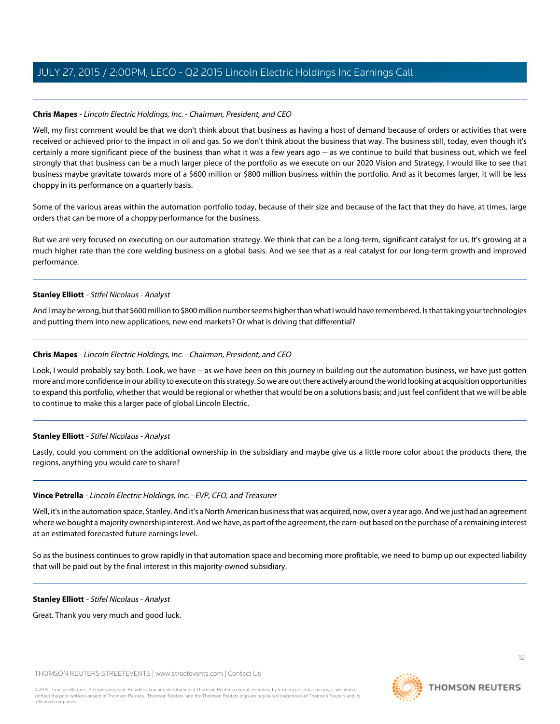# **Chris Mapes** - Lincoln Electric Holdings, Inc. - Chairman, President, and CEO

Well, my first comment would be that we don't think about that business as having a host of demand because of orders or activities that were received or achieved prior to the impact in oil and gas. So we don't think about the business that way. The business still, today, even though it's certainly a more significant piece of the business than what it was a few years ago -- as we continue to build that business out, which we feel strongly that that business can be a much larger piece of the portfolio as we execute on our 2020 Vision and Strategy, I would like to see that business maybe gravitate towards more of a \$600 million or \$800 million business within the portfolio. And as it becomes larger, it will be less choppy in its performance on a quarterly basis.

Some of the various areas within the automation portfolio today, because of their size and because of the fact that they do have, at times, large orders that can be more of a choppy performance for the business.

But we are very focused on executing on our automation strategy. We think that can be a long-term, significant catalyst for us. It's growing at a much higher rate than the core welding business on a global basis. And we see that as a real catalyst for our long-term growth and improved performance.

# **Stanley Elliott** - Stifel Nicolaus - Analyst

And I may be wrong, but that \$600 million to \$800 million number seems higher than what I would have remembered. Is that taking your technologies and putting them into new applications, new end markets? Or what is driving that differential?

# **Chris Mapes** - Lincoln Electric Holdings, Inc. - Chairman, President, and CEO

Look, I would probably say both. Look, we have -- as we have been on this journey in building out the automation business, we have just gotten more and more confidence in our ability to execute on this strategy. So we are out there actively around the world looking at acquisition opportunities to expand this portfolio, whether that would be regional or whether that would be on a solutions basis; and just feel confident that we will be able to continue to make this a larger pace of global Lincoln Electric.

# **Stanley Elliott** - Stifel Nicolaus - Analyst

Lastly, could you comment on the additional ownership in the subsidiary and maybe give us a little more color about the products there, the regions, anything you would care to share?

# **Vince Petrella** - Lincoln Electric Holdings, Inc. - EVP, CFO, and Treasurer

Well, it's in the automation space, Stanley. And it's a North American business that was acquired, now, over a year ago. And we just had an agreement where we bought a majority ownership interest. And we have, as part of the agreement, the earn-out based on the purchase of a remaining interest at an estimated forecasted future earnings level.

So as the business continues to grow rapidly in that automation space and becoming more profitable, we need to bump up our expected liability that will be paid out by the final interest in this majority-owned subsidiary.

#### **Stanley Elliott** - Stifel Nicolaus - Analyst

Great. Thank you very much and good luck.

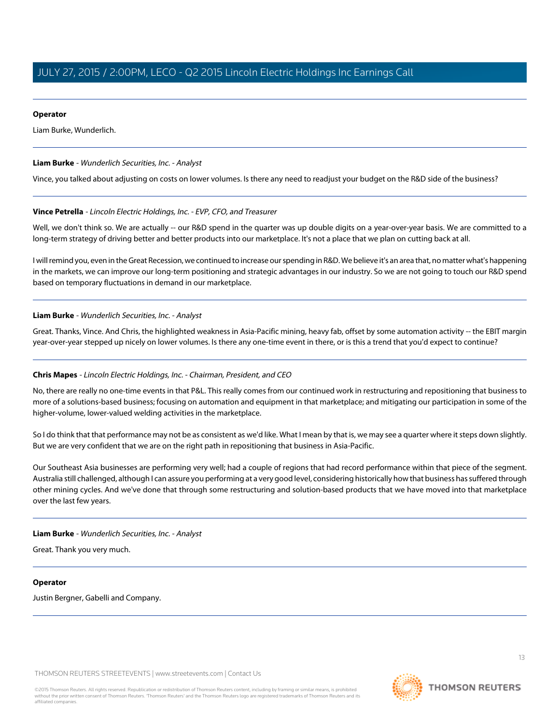#### **Operator**

Liam Burke, Wunderlich.

## <span id="page-12-0"></span>**Liam Burke** - Wunderlich Securities, Inc. - Analyst

Vince, you talked about adjusting on costs on lower volumes. Is there any need to readjust your budget on the R&D side of the business?

#### **Vince Petrella** - Lincoln Electric Holdings, Inc. - EVP, CFO, and Treasurer

Well, we don't think so. We are actually -- our R&D spend in the quarter was up double digits on a year-over-year basis. We are committed to a long-term strategy of driving better and better products into our marketplace. It's not a place that we plan on cutting back at all.

I will remind you, even in the Great Recession, we continued to increase our spending in R&D. We believe it's an area that, no matter what's happening in the markets, we can improve our long-term positioning and strategic advantages in our industry. So we are not going to touch our R&D spend based on temporary fluctuations in demand in our marketplace.

#### **Liam Burke** - Wunderlich Securities, Inc. - Analyst

Great. Thanks, Vince. And Chris, the highlighted weakness in Asia-Pacific mining, heavy fab, offset by some automation activity -- the EBIT margin year-over-year stepped up nicely on lower volumes. Is there any one-time event in there, or is this a trend that you'd expect to continue?

# **Chris Mapes** - Lincoln Electric Holdings, Inc. - Chairman, President, and CEO

No, there are really no one-time events in that P&L. This really comes from our continued work in restructuring and repositioning that business to more of a solutions-based business; focusing on automation and equipment in that marketplace; and mitigating our participation in some of the higher-volume, lower-valued welding activities in the marketplace.

So I do think that that performance may not be as consistent as we'd like. What I mean by that is, we may see a quarter where it steps down slightly. But we are very confident that we are on the right path in repositioning that business in Asia-Pacific.

Our Southeast Asia businesses are performing very well; had a couple of regions that had record performance within that piece of the segment. Australia still challenged, although I can assure you performing at a very good level, considering historically how that business has suffered through other mining cycles. And we've done that through some restructuring and solution-based products that we have moved into that marketplace over the last few years.

**Liam Burke** - Wunderlich Securities, Inc. - Analyst

Great. Thank you very much.

# **Operator**

Justin Bergner, Gabelli and Company.

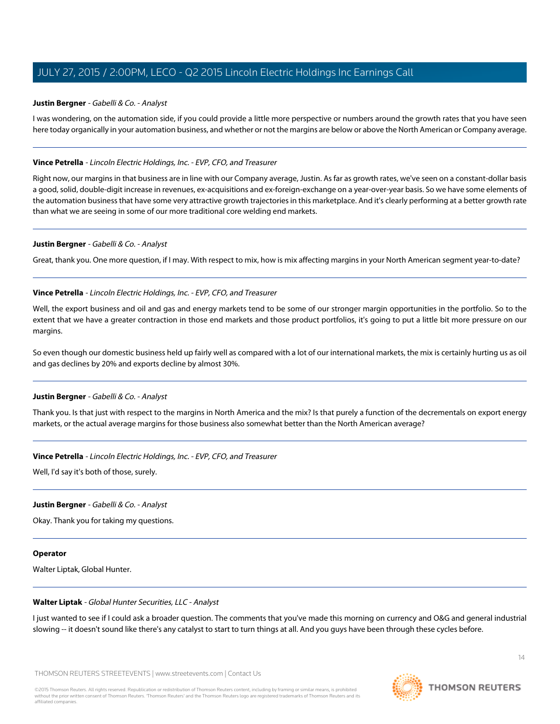#### <span id="page-13-0"></span>**Justin Bergner** - Gabelli & Co. - Analyst

I was wondering, on the automation side, if you could provide a little more perspective or numbers around the growth rates that you have seen here today organically in your automation business, and whether or not the margins are below or above the North American or Company average.

#### **Vince Petrella** - Lincoln Electric Holdings, Inc. - EVP, CFO, and Treasurer

Right now, our margins in that business are in line with our Company average, Justin. As far as growth rates, we've seen on a constant-dollar basis a good, solid, double-digit increase in revenues, ex-acquisitions and ex-foreign-exchange on a year-over-year basis. So we have some elements of the automation business that have some very attractive growth trajectories in this marketplace. And it's clearly performing at a better growth rate than what we are seeing in some of our more traditional core welding end markets.

#### **Justin Bergner** - Gabelli & Co. - Analyst

Great, thank you. One more question, if I may. With respect to mix, how is mix affecting margins in your North American segment year-to-date?

#### **Vince Petrella** - Lincoln Electric Holdings, Inc. - EVP, CFO, and Treasurer

Well, the export business and oil and gas and energy markets tend to be some of our stronger margin opportunities in the portfolio. So to the extent that we have a greater contraction in those end markets and those product portfolios, it's going to put a little bit more pressure on our margins.

So even though our domestic business held up fairly well as compared with a lot of our international markets, the mix is certainly hurting us as oil and gas declines by 20% and exports decline by almost 30%.

#### **Justin Bergner** - Gabelli & Co. - Analyst

Thank you. Is that just with respect to the margins in North America and the mix? Is that purely a function of the decrementals on export energy markets, or the actual average margins for those business also somewhat better than the North American average?

#### **Vince Petrella** - Lincoln Electric Holdings, Inc. - EVP, CFO, and Treasurer

Well, I'd say it's both of those, surely.

#### **Justin Bergner** - Gabelli & Co. - Analyst

Okay. Thank you for taking my questions.

#### **Operator**

Walter Liptak, Global Hunter.

#### **Walter Liptak** - Global Hunter Securities, LLC - Analyst

I just wanted to see if I could ask a broader question. The comments that you've made this morning on currency and O&G and general industrial slowing -- it doesn't sound like there's any catalyst to start to turn things at all. And you guys have been through these cycles before.



 $14$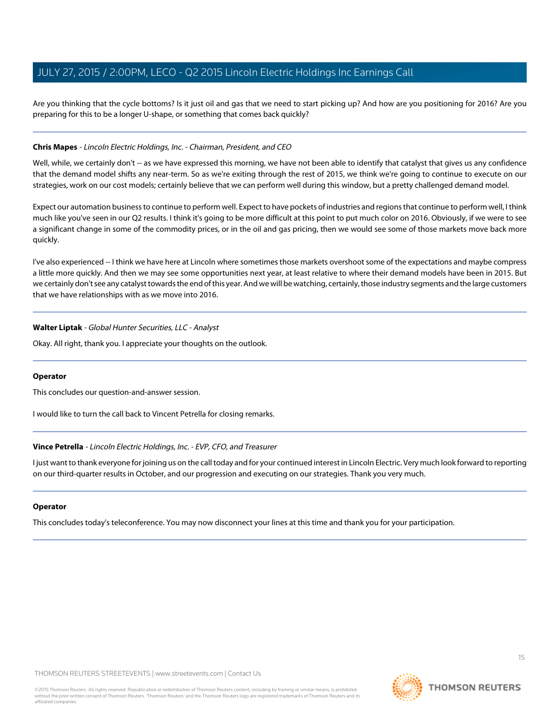Are you thinking that the cycle bottoms? Is it just oil and gas that we need to start picking up? And how are you positioning for 2016? Are you preparing for this to be a longer U-shape, or something that comes back quickly?

#### **Chris Mapes** - Lincoln Electric Holdings, Inc. - Chairman, President, and CEO

Well, while, we certainly don't -- as we have expressed this morning, we have not been able to identify that catalyst that gives us any confidence that the demand model shifts any near-term. So as we're exiting through the rest of 2015, we think we're going to continue to execute on our strategies, work on our cost models; certainly believe that we can perform well during this window, but a pretty challenged demand model.

Expect our automation business to continue to perform well. Expect to have pockets of industries and regions that continue to perform well, I think much like you've seen in our Q2 results. I think it's going to be more difficult at this point to put much color on 2016. Obviously, if we were to see a significant change in some of the commodity prices, or in the oil and gas pricing, then we would see some of those markets move back more quickly.

I've also experienced -- I think we have here at Lincoln where sometimes those markets overshoot some of the expectations and maybe compress a little more quickly. And then we may see some opportunities next year, at least relative to where their demand models have been in 2015. But we certainly don't see any catalyst towards the end of this year. And we will be watching, certainly, those industry segments and the large customers that we have relationships with as we move into 2016.

#### **Walter Liptak** - Global Hunter Securities, LLC - Analyst

Okay. All right, thank you. I appreciate your thoughts on the outlook.

#### **Operator**

This concludes our question-and-answer session.

I would like to turn the call back to Vincent Petrella for closing remarks.

#### **Vince Petrella** - Lincoln Electric Holdings, Inc. - EVP, CFO, and Treasurer

I just want to thank everyone for joining us on the call today and for your continued interest in Lincoln Electric. Very much look forward to reporting on our third-quarter results in October, and our progression and executing on our strategies. Thank you very much.

#### **Operator**

This concludes today's teleconference. You may now disconnect your lines at this time and thank you for your participation.